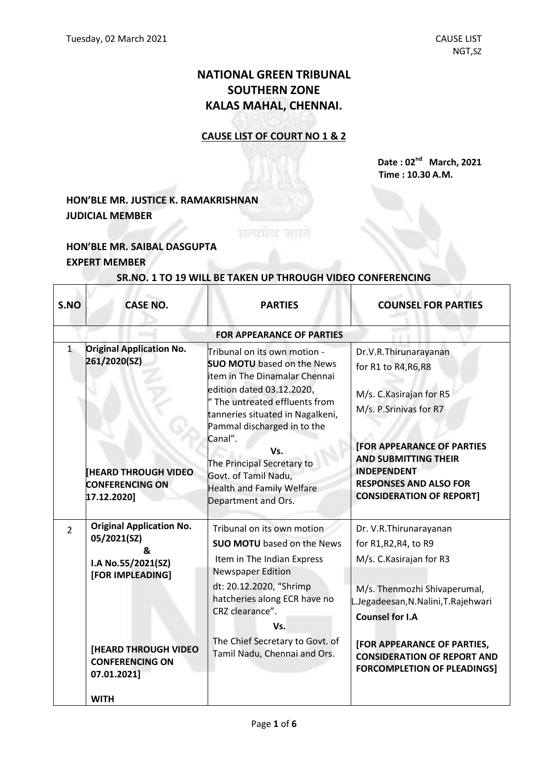## **NATIONAL GREEN TRIBUNAL SOUTHERN ZONE KALAS MAHAL, CHENNAI.**

#### **CAUSE LIST OF COURT NO 1 & 2**

**Date : 02 nd March, 2021 Time : 10.30 A.M.**

### **HON'BLE MR. JUSTICE K. RAMAKRISHNAN JUDICIAL MEMBER**

#### **HON'BLE MR. SAIBAL DASGUPTA EXPERT MEMBER**

 $\Gamma$ 

Т

| S.NO           | <b>CASE NO.</b>                                                                                                                                                               | <b>PARTIES</b>                                                                                                                                                                                                                                                                                                                                                          | <b>COUNSEL FOR PARTIES</b>                                                                                                                                                                                                                                                                 |  |
|----------------|-------------------------------------------------------------------------------------------------------------------------------------------------------------------------------|-------------------------------------------------------------------------------------------------------------------------------------------------------------------------------------------------------------------------------------------------------------------------------------------------------------------------------------------------------------------------|--------------------------------------------------------------------------------------------------------------------------------------------------------------------------------------------------------------------------------------------------------------------------------------------|--|
|                | <b>FOR APPEARANCE OF PARTIES</b>                                                                                                                                              |                                                                                                                                                                                                                                                                                                                                                                         |                                                                                                                                                                                                                                                                                            |  |
| $\mathbf{1}$   | <b>Original Application No.</b><br>261/2020(SZ)<br><b>IHEARD THROUGH VIDEO</b><br><b>CONFERENCING ON</b><br>17.12.2020]                                                       | Tribunal on its own motion -<br><b>SUO MOTU</b> based on the News<br>item in The Dinamalar Chennai<br>edition dated 03.12.2020,<br>" The untreated effluents from<br>tanneries situated in Nagalkeni,<br>Pammal discharged in to the<br>Canal".<br>Vs.<br>The Principal Secretary to<br>Govt. of Tamil Nadu,<br><b>Health and Family Welfare</b><br>Department and Ors. | Dr.V.R.Thirunarayanan<br>for R1 to R4, R6, R8<br>M/s. C. Kasirajan for R5<br>M/s. P.Srinivas for R7<br><b>[FOR APPEARANCE OF PARTIES</b><br><b>AND SUBMITTING THEIR</b><br><b>INDEPENDENT</b><br><b>RESPONSES AND ALSO FOR</b><br><b>CONSIDERATION OF REPORT]</b>                          |  |
| $\overline{2}$ | <b>Original Application No.</b><br>05/2021(SZ)<br>&<br>I.A No.55/2021(SZ)<br>[FOR IMPLEADING]<br>[HEARD THROUGH VIDEO<br><b>CONFERENCING ON</b><br>07.01.2021]<br><b>WITH</b> | Tribunal on its own motion<br><b>SUO MOTU</b> based on the News<br>Item in The Indian Express<br><b>Newspaper Edition</b><br>dt: 20.12.2020, "Shrimp<br>hatcheries along ECR have no<br>CRZ clearance".<br>Vs.<br>The Chief Secretary to Govt. of<br>Tamil Nadu, Chennai and Ors.                                                                                       | Dr. V.R. Thirunarayanan<br>for R1, R2, R4, to R9<br>M/s. C. Kasirajan for R3<br>M/s. Thenmozhi Shivaperumal,<br>L.Jegadeesan, N. Nalini, T. Rajehwari<br><b>Counsel for I.A</b><br>[FOR APPEARANCE OF PARTIES,<br><b>CONSIDERATION OF REPORT AND</b><br><b>FORCOMPLETION OF PLEADINGS]</b> |  |

# **SR.NO. 1 TO 19 WILL BE TAKEN UP THROUGH VIDEO CONFERENCING**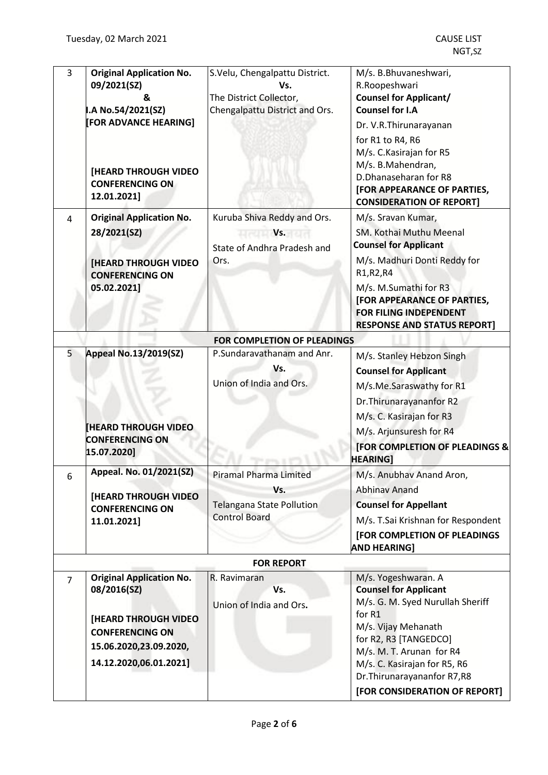| 3              | <b>Original Application No.</b><br>09/2021(SZ)<br>&<br>I.A No.54/2021(SZ)<br>[FOR ADVANCE HEARING]                                                          | S.Velu, Chengalpattu District.<br>Vs.<br>The District Collector,<br>Chengalpattu District and Ors. | M/s. B.Bhuvaneshwari,<br>R.Roopeshwari<br><b>Counsel for Applicant/</b><br><b>Counsel for I.A</b><br>Dr. V.R. Thirunarayanan<br>for R1 to R4, R6<br>M/s. C. Kasirajan for R5                                                                                                   |
|----------------|-------------------------------------------------------------------------------------------------------------------------------------------------------------|----------------------------------------------------------------------------------------------------|--------------------------------------------------------------------------------------------------------------------------------------------------------------------------------------------------------------------------------------------------------------------------------|
|                | [HEARD THROUGH VIDEO<br><b>CONFERENCING ON</b><br>12.01.2021]                                                                                               |                                                                                                    | M/s. B.Mahendran,<br>D.Dhanaseharan for R8<br>[FOR APPEARANCE OF PARTIES,<br><b>CONSIDERATION OF REPORT]</b>                                                                                                                                                                   |
| 4              | <b>Original Application No.</b><br>28/2021(SZ)<br><b>[HEARD THROUGH VIDEO</b><br><b>CONFERENCING ON</b><br>05.02.2021]                                      | Kuruba Shiva Reddy and Ors.<br><b>Vs.</b><br>State of Andhra Pradesh and<br>Ors.                   | M/s. Sravan Kumar,<br>SM. Kothai Muthu Meenal<br><b>Counsel for Applicant</b><br>M/s. Madhuri Donti Reddy for<br>R1, R2, R4<br>M/s. M.Sumathi for R3<br>[FOR APPEARANCE OF PARTIES,<br>FOR FILING INDEPENDENT<br><b>RESPONSE AND STATUS REPORT]</b>                            |
|                |                                                                                                                                                             | <b>FOR COMPLETION OF PLEADINGS</b>                                                                 |                                                                                                                                                                                                                                                                                |
| 5              | <b>Appeal No.13/2019(SZ)</b><br><b>HEARD THROUGH VIDEO</b><br><b>CONFERENCING ON</b><br>15.07.2020]                                                         | P.Sundaravathanam and Anr.<br>Vs.<br>Union of India and Ors.                                       | M/s. Stanley Hebzon Singh<br><b>Counsel for Applicant</b><br>M/s.Me.Saraswathy for R1<br>Dr. Thirunarayananfor R2<br>M/s. C. Kasirajan for R3<br>M/s. Arjunsuresh for R4<br>[FOR COMPLETION OF PLEADINGS &<br><b>HEARING]</b>                                                  |
| 6              | Appeal. No. 01/2021(SZ)<br><b>[HEARD THROUGH VIDEO</b><br><b>CONFERENCING ON</b><br>11.01.2021]                                                             | <b>Piramal Pharma Limited</b><br>Vs.<br><b>Telangana State Pollution</b><br><b>Control Board</b>   | M/s. Anubhav Anand Aron,<br><b>Abhinav Anand</b><br><b>Counsel for Appellant</b><br>M/s. T.Sai Krishnan for Respondent<br>[FOR COMPLETION OF PLEADINGS<br><b>AND HEARING1</b>                                                                                                  |
|                |                                                                                                                                                             | <b>FOR REPORT</b>                                                                                  |                                                                                                                                                                                                                                                                                |
| $\overline{7}$ | <b>Original Application No.</b><br>08/2016(SZ)<br><b>[HEARD THROUGH VIDEO</b><br><b>CONFERENCING ON</b><br>15.06.2020,23.09.2020,<br>14.12.2020,06.01.2021] | R. Ravimaran<br>Vs.<br>Union of India and Ors.                                                     | M/s. Yogeshwaran. A<br><b>Counsel for Applicant</b><br>M/s. G. M. Syed Nurullah Sheriff<br>for R1<br>M/s. Vijay Mehanath<br>for R2, R3 [TANGEDCO]<br>M/s. M. T. Arunan for R4<br>M/s. C. Kasirajan for R5, R6<br>Dr. Thirunarayananfor R7, R8<br>[FOR CONSIDERATION OF REPORT] |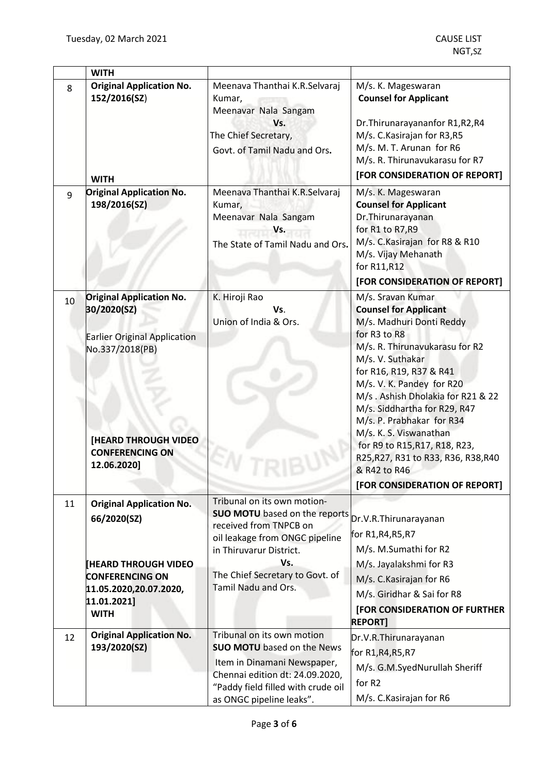|    | <b>WITH</b>                                                                                                                                                                      |                                                                                                                                                                                                                             |                                                                                                                                                                                                                                                                                                                                                                                                                                                                  |
|----|----------------------------------------------------------------------------------------------------------------------------------------------------------------------------------|-----------------------------------------------------------------------------------------------------------------------------------------------------------------------------------------------------------------------------|------------------------------------------------------------------------------------------------------------------------------------------------------------------------------------------------------------------------------------------------------------------------------------------------------------------------------------------------------------------------------------------------------------------------------------------------------------------|
| 8  | <b>Original Application No.</b><br>152/2016(SZ)<br><b>WITH</b>                                                                                                                   | Meenava Thanthai K.R.Selvaraj<br>Kumar,<br>Meenavar Nala Sangam<br>Vs.<br>The Chief Secretary,<br>Govt. of Tamil Nadu and Ors.                                                                                              | M/s. K. Mageswaran<br><b>Counsel for Applicant</b><br>Dr. Thirunarayananfor R1, R2, R4<br>M/s. C. Kasirajan for R3, R5<br>M/s. M. T. Arunan for R6<br>M/s. R. Thirunavukarasu for R7<br>[FOR CONSIDERATION OF REPORT]                                                                                                                                                                                                                                            |
| 9  | <b>Original Application No.</b><br>198/2016(SZ)                                                                                                                                  | Meenava Thanthai K.R.Selvaraj<br>Kumar,<br>Meenavar Nala Sangam<br>Vs.<br>The State of Tamil Nadu and Ors.                                                                                                                  | M/s. K. Mageswaran<br><b>Counsel for Applicant</b><br>Dr. Thirunarayanan<br>for R1 to R7, R9<br>M/s. C. Kasirajan for R8 & R10<br>M/s. Vijay Mehanath<br>for R11, R12<br>[FOR CONSIDERATION OF REPORT]                                                                                                                                                                                                                                                           |
| 10 | <b>Original Application No.</b><br>30/2020(SZ)<br><b>Earlier Original Application</b><br>No.337/2018(PB)<br><b>[HEARD THROUGH VIDEO</b><br><b>CONFERENCING ON</b><br>12.06.2020] | K. Hiroji Rao<br>Vs.<br>Union of India & Ors.                                                                                                                                                                               | M/s. Sravan Kumar<br><b>Counsel for Applicant</b><br>M/s. Madhuri Donti Reddy<br>for R3 to R8<br>M/s. R. Thirunavukarasu for R2<br>M/s. V. Suthakar<br>for R16, R19, R37 & R41<br>M/s. V. K. Pandey for R20<br>M/s. Ashish Dholakia for R21 & 22<br>M/s. Siddhartha for R29, R47<br>M/s. P. Prabhakar for R34<br>M/s. K. S. Viswanathan<br>for R9 to R15, R17, R18, R23,<br>R25, R27, R31 to R33, R36, R38, R40<br>& R42 to R46<br>[FOR CONSIDERATION OF REPORT] |
| 11 | <b>Original Application No.</b><br>66/2020(SZ)<br><b>[HEARD THROUGH VIDEO</b><br><b>CONFERENCING ON</b><br>11.05.2020,20.07.2020,<br>11.01.2021]<br><b>WITH</b>                  | Tribunal on its own motion-<br><b>SUO MOTU</b> based on the reports<br>received from TNPCB on<br>oil leakage from ONGC pipeline<br>in Thiruvarur District.<br>Vs.<br>The Chief Secretary to Govt. of<br>Tamil Nadu and Ors. | Dr.V.R.Thirunarayanan<br>for R1, R4, R5, R7<br>M/s. M.Sumathi for R2<br>M/s. Jayalakshmi for R3<br>M/s. C. Kasirajan for R6<br>M/s. Giridhar & Sai for R8<br>[FOR CONSIDERATION OF FURTHER<br><b>REPORT]</b>                                                                                                                                                                                                                                                     |
| 12 | <b>Original Application No.</b><br>193/2020(SZ)                                                                                                                                  | Tribunal on its own motion<br><b>SUO MOTU</b> based on the News<br>Item in Dinamani Newspaper,<br>Chennai edition dt: 24.09.2020,<br>"Paddy field filled with crude oil<br>as ONGC pipeline leaks".                         | Dr.V.R.Thirunarayanan<br>for R1, R4, R5, R7<br>M/s. G.M.SyedNurullah Sheriff<br>for R2<br>M/s. C. Kasirajan for R6                                                                                                                                                                                                                                                                                                                                               |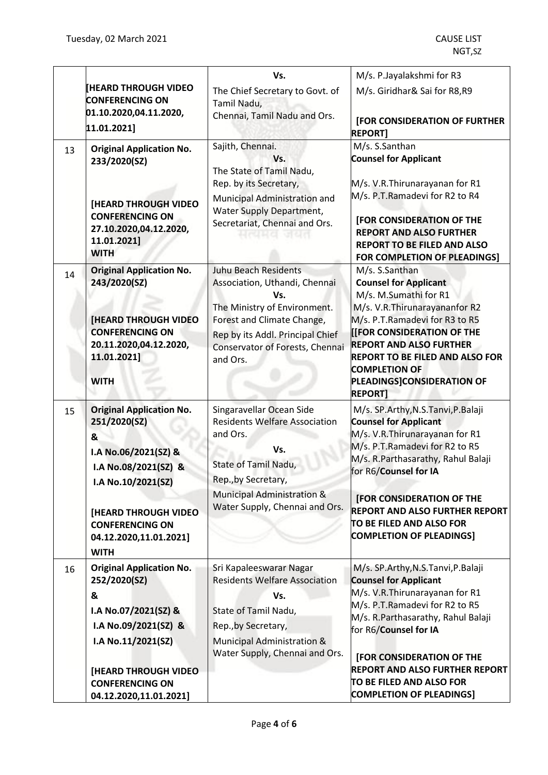|    |                                                       | Vs.                                                              | M/s. P.Jayalakshmi for R3                                                |
|----|-------------------------------------------------------|------------------------------------------------------------------|--------------------------------------------------------------------------|
|    | <b>[HEARD THROUGH VIDEO</b>                           | The Chief Secretary to Govt. of                                  | M/s. Giridhar& Sai for R8,R9                                             |
|    | <b>CONFERENCING ON</b>                                | Tamil Nadu,                                                      |                                                                          |
|    | 01.10.2020,04.11.2020,<br>11.01.2021]                 | Chennai, Tamil Nadu and Ors.                                     | <b>[FOR CONSIDERATION OF FURTHER</b><br><b>REPORT</b>                    |
| 13 | <b>Original Application No.</b>                       | Sajith, Chennai.                                                 | M/s. S.Santhan                                                           |
|    | 233/2020(SZ)                                          | Vs.<br>The State of Tamil Nadu,                                  | <b>Counsel for Applicant</b>                                             |
|    |                                                       | Rep. by its Secretary,                                           | M/s. V.R.Thirunarayanan for R1                                           |
|    |                                                       | Municipal Administration and                                     | M/s. P.T.Ramadevi for R2 to R4                                           |
|    | <b>[HEARD THROUGH VIDEO</b><br><b>CONFERENCING ON</b> | Water Supply Department,                                         |                                                                          |
|    | 27.10.2020,04.12.2020,                                | Secretariat, Chennai and Ors.<br>ાત્વમલ जઘત                      | [FOR CONSIDERATION OF THE<br><b>REPORT AND ALSO FURTHER</b>              |
|    | 11.01.2021]                                           |                                                                  | <b>REPORT TO BE FILED AND ALSO</b>                                       |
|    | <b>WITH</b>                                           |                                                                  | FOR COMPLETION OF PLEADINGS]                                             |
| 14 | <b>Original Application No.</b>                       | <b>Juhu Beach Residents</b>                                      | M/s. S.Santhan                                                           |
|    | 243/2020(SZ)                                          | Association, Uthandi, Chennai<br>Vs.                             | <b>Counsel for Applicant</b><br>M/s. M.Sumathi for R1                    |
|    |                                                       | The Ministry of Environment.                                     | M/s. V.R. Thirunarayananfor R2                                           |
|    | <b>[HEARD THROUGH VIDEO</b>                           | Forest and Climate Change,                                       | M/s. P.T.Ramadevi for R3 to R5                                           |
|    | <b>CONFERENCING ON</b>                                | Rep by its Addl. Principal Chief                                 | [[FOR CONSIDERATION OF THE                                               |
|    | 20.11.2020,04.12.2020,<br>11.01.2021]                 | Conservator of Forests, Chennai<br>and Ors.                      | <b>REPORT AND ALSO FURTHER</b><br><b>REPORT TO BE FILED AND ALSO FOR</b> |
|    |                                                       |                                                                  | <b>COMPLETION OF</b>                                                     |
|    | <b>WITH</b>                                           |                                                                  | PLEADINGS]CONSIDERATION OF                                               |
|    |                                                       |                                                                  | <b>REPORT]</b>                                                           |
| 15 | <b>Original Application No.</b><br>251/2020(SZ)       | Singaravellar Ocean Side<br><b>Residents Welfare Association</b> | M/s. SP.Arthy, N.S.Tanvi, P.Balaji<br><b>Counsel for Applicant</b>       |
|    | &                                                     | and Ors.                                                         | M/s. V.R.Thirunarayanan for R1                                           |
|    | I.A No.06/2021(SZ) &                                  | Vs.                                                              | M/s. P.T.Ramadevi for R2 to R5                                           |
|    | I.A No.08/2021(SZ) &                                  | State of Tamil Nadu,                                             | M/s. R.Parthasarathy, Rahul Balaji                                       |
|    | I.A No.10/2021(SZ)                                    | Rep., by Secretary,                                              | for R6/Counsel for IA                                                    |
|    |                                                       | Municipal Administration &                                       | <b>[FOR CONSIDERATION OF THE</b>                                         |
|    | <b>[HEARD THROUGH VIDEO</b>                           | Water Supply, Chennai and Ors.                                   | <b>REPORT AND ALSO FURTHER REPORT</b>                                    |
|    | <b>CONFERENCING ON</b>                                |                                                                  | TO BE FILED AND ALSO FOR                                                 |
|    | 04.12.2020,11.01.2021]                                |                                                                  | <b>COMPLETION OF PLEADINGS]</b>                                          |
|    | <b>WITH</b>                                           |                                                                  |                                                                          |
| 16 | <b>Original Application No.</b>                       | Sri Kapaleeswarar Nagar<br><b>Residents Welfare Association</b>  | M/s. SP.Arthy, N.S.Tanvi, P.Balaji                                       |
|    | 252/2020(SZ)<br>&                                     |                                                                  | <b>Counsel for Applicant</b><br>M/s. V.R. Thirunarayanan for R1          |
|    | I.A No.07/2021(SZ) &                                  | Vs.<br>State of Tamil Nadu,                                      | M/s. P.T.Ramadevi for R2 to R5                                           |
|    | I.A No.09/2021(SZ) &                                  | Rep., by Secretary,                                              | M/s. R.Parthasarathy, Rahul Balaji                                       |
|    | I.A No.11/2021(SZ)                                    | Municipal Administration &                                       | for R6/Counsel for IA                                                    |
|    |                                                       | Water Supply, Chennai and Ors.                                   | <b>[FOR CONSIDERATION OF THE</b>                                         |
|    | <b>[HEARD THROUGH VIDEO</b>                           |                                                                  | <b>REPORT AND ALSO FURTHER REPORT</b>                                    |
|    | <b>CONFERENCING ON</b>                                |                                                                  | TO BE FILED AND ALSO FOR                                                 |
|    | 04.12.2020,11.01.2021]                                |                                                                  | <b>COMPLETION OF PLEADINGS]</b>                                          |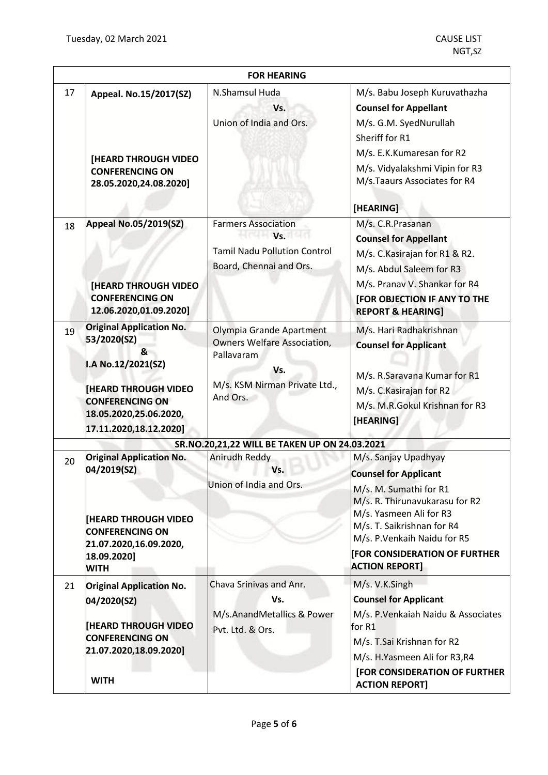|    | <b>FOR HEARING</b>                                                                                                                                                                    |                                                                                                                                  |                                                                                                                                                                                                                                                                           |  |
|----|---------------------------------------------------------------------------------------------------------------------------------------------------------------------------------------|----------------------------------------------------------------------------------------------------------------------------------|---------------------------------------------------------------------------------------------------------------------------------------------------------------------------------------------------------------------------------------------------------------------------|--|
| 17 | Appeal. No.15/2017(SZ)<br><b>[HEARD THROUGH VIDEO</b><br><b>CONFERENCING ON</b><br>28.05.2020,24.08.2020]                                                                             | N.Shamsul Huda<br>Vs.<br>Union of India and Ors.                                                                                 | M/s. Babu Joseph Kuruvathazha<br><b>Counsel for Appellant</b><br>M/s. G.M. SyedNurullah<br>Sheriff for R1<br>M/s. E.K.Kumaresan for R2<br>M/s. Vidyalakshmi Vipin for R3<br>M/s.Taaurs Associates for R4<br>[HEARING]                                                     |  |
| 18 | <b>Appeal No.05/2019(SZ)</b><br>[HEARD THROUGH VIDEO<br><b>CONFERENCING ON</b><br>12.06.2020,01.09.2020]                                                                              | <b>Farmers Association</b><br>Vs.<br><b>Tamil Nadu Pollution Control</b><br>Board, Chennai and Ors.                              | M/s. C.R.Prasanan<br><b>Counsel for Appellant</b><br>M/s. C. Kasirajan for R1 & R2.<br>M/s. Abdul Saleem for R3<br>M/s. Pranav V. Shankar for R4<br><b>[FOR OBJECTION IF ANY TO THE</b><br><b>REPORT &amp; HEARING]</b>                                                   |  |
| 19 | <b>Original Application No.</b><br>53/2020(SZ)<br>&<br>I.A No.12/2021(SZ)<br><b>HEARD THROUGH VIDEO</b><br><b>CONFERENCING ON</b><br>18.05.2020,25.06.2020,<br>17.11.2020,18.12.2020] | Olympia Grande Apartment<br><b>Owners Welfare Association,</b><br>Pallavaram<br>Vs.<br>M/s. KSM Nirman Private Ltd.,<br>And Ors. | M/s. Hari Radhakrishnan<br><b>Counsel for Applicant</b><br>M/s. R.Saravana Kumar for R1<br>M/s. C. Kasirajan for R2<br>M/s. M.R.Gokul Krishnan for R3<br>[HEARING]                                                                                                        |  |
|    |                                                                                                                                                                                       | SR.NO.20,21,22 WILL BE TAKEN UP ON 24.03.2021                                                                                    |                                                                                                                                                                                                                                                                           |  |
| 20 | <b>Original Application No.</b><br>04/2019(SZ)<br><b>IHEARD THROUGH VIDEO</b><br><b>CONFERENCING ON</b><br>21.07.2020,16.09.2020,<br>18.09.2020]<br><b>WITH</b>                       | Anirudh Reddy<br>Vs.<br>Union of India and Ors.                                                                                  | M/s. Sanjay Upadhyay<br><b>Counsel for Applicant</b><br>M/s. M. Sumathi for R1<br>M/s. R. Thirunavukarasu for R2<br>M/s. Yasmeen Ali for R3<br>M/s. T. Saikrishnan for R4<br>M/s. P. Venkaih Naidu for R5<br><b>FOR CONSIDERATION OF FURTHER</b><br><b>ACTION REPORT]</b> |  |
| 21 | <b>Original Application No.</b><br>04/2020(SZ)<br><b>HEARD THROUGH VIDEO</b><br><b>CONFERENCING ON</b><br>21.07.2020,18.09.2020]<br><b>WITH</b>                                       | Chava Srinivas and Anr.<br>Vs.<br>M/s.AnandMetallics & Power<br>Pvt. Ltd. & Ors.                                                 | M/s. V.K.Singh<br><b>Counsel for Applicant</b><br>M/s. P. Venkaiah Naidu & Associates<br>for R1<br>M/s. T.Sai Krishnan for R2<br>M/s. H.Yasmeen Ali for R3,R4<br>[FOR CONSIDERATION OF FURTHER<br><b>ACTION REPORT]</b>                                                   |  |